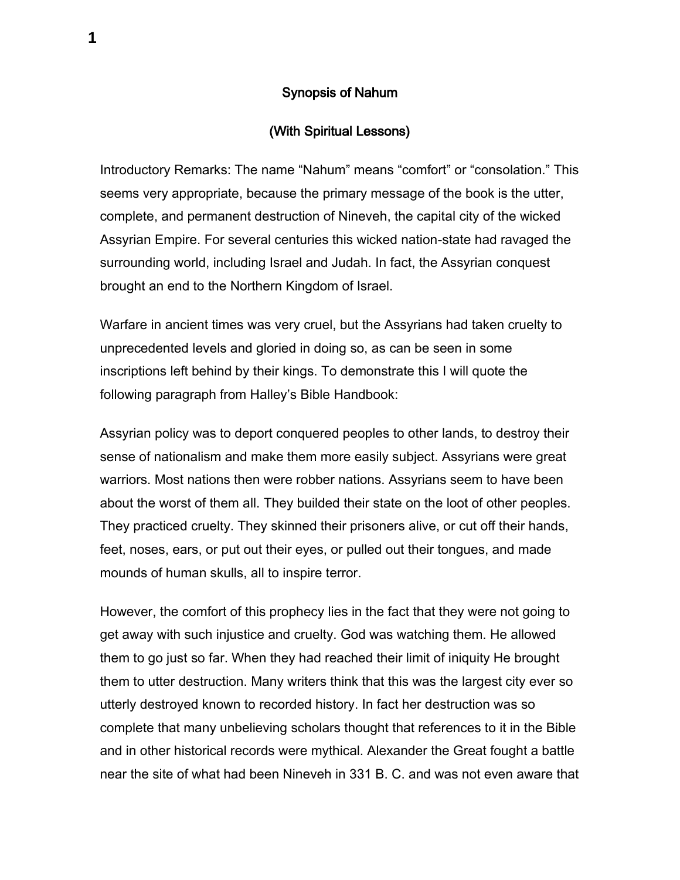## Synopsis of Nahum

## (With Spiritual Lessons)

Introductory Remarks: The name "Nahum" means "comfort" or "consolation." This seems very appropriate, because the primary message of the book is the utter, complete, and permanent destruction of Nineveh, the capital city of the wicked Assyrian Empire. For several centuries this wicked nation-state had ravaged the surrounding world, including Israel and Judah. In fact, the Assyrian conquest brought an end to the Northern Kingdom of Israel.

Warfare in ancient times was very cruel, but the Assyrians had taken cruelty to unprecedented levels and gloried in doing so, as can be seen in some inscriptions left behind by their kings. To demonstrate this I will quote the following paragraph from Halley's Bible Handbook:

Assyrian policy was to deport conquered peoples to other lands, to destroy their sense of nationalism and make them more easily subject. Assyrians were great warriors. Most nations then were robber nations. Assyrians seem to have been about the worst of them all. They builded their state on the loot of other peoples. They practiced cruelty. They skinned their prisoners alive, or cut off their hands, feet, noses, ears, or put out their eyes, or pulled out their tongues, and made mounds of human skulls, all to inspire terror.

However, the comfort of this prophecy lies in the fact that they were not going to get away with such injustice and cruelty. God was watching them. He allowed them to go just so far. When they had reached their limit of iniquity He brought them to utter destruction. Many writers think that this was the largest city ever so utterly destroyed known to recorded history. In fact her destruction was so complete that many unbelieving scholars thought that references to it in the Bible and in other historical records were mythical. Alexander the Great fought a battle near the site of what had been Nineveh in 331 B. C. and was not even aware that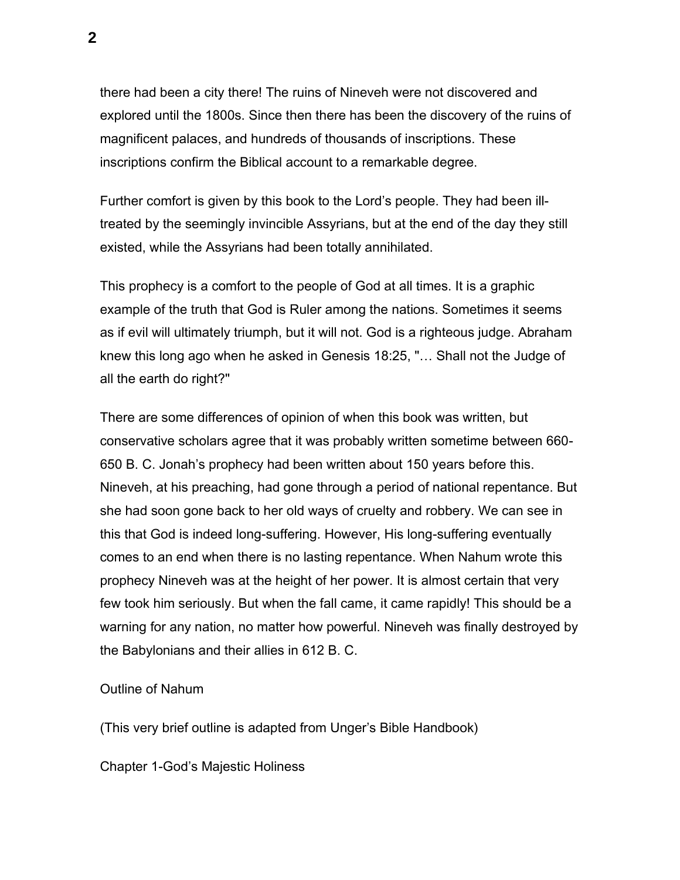there had been a city there! The ruins of Nineveh were not discovered and explored until the 1800s. Since then there has been the discovery of the ruins of magnificent palaces, and hundreds of thousands of inscriptions. These inscriptions confirm the Biblical account to a remarkable degree.

Further comfort is given by this book to the Lord's people. They had been illtreated by the seemingly invincible Assyrians, but at the end of the day they still existed, while the Assyrians had been totally annihilated.

This prophecy is a comfort to the people of God at all times. It is a graphic example of the truth that God is Ruler among the nations. Sometimes it seems as if evil will ultimately triumph, but it will not. God is a righteous judge. Abraham knew this long ago when he asked in Genesis 18:25, "… Shall not the Judge of all the earth do right?"

There are some differences of opinion of when this book was written, but conservative scholars agree that it was probably written sometime between 660- 650 B. C. Jonah's prophecy had been written about 150 years before this. Nineveh, at his preaching, had gone through a period of national repentance. But she had soon gone back to her old ways of cruelty and robbery. We can see in this that God is indeed long-suffering. However, His long-suffering eventually comes to an end when there is no lasting repentance. When Nahum wrote this prophecy Nineveh was at the height of her power. It is almost certain that very few took him seriously. But when the fall came, it came rapidly! This should be a warning for any nation, no matter how powerful. Nineveh was finally destroyed by the Babylonians and their allies in 612 B. C.

## Outline of Nahum

(This very brief outline is adapted from Unger's Bible Handbook)

Chapter 1-God's Majestic Holiness

**2**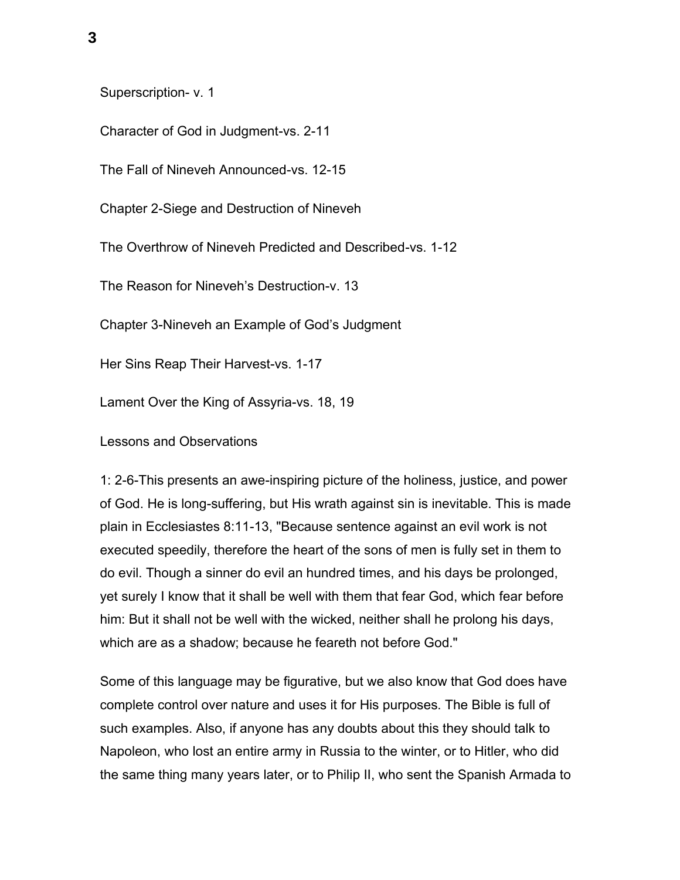Superscription- v. 1

Character of God in Judgment-vs. 2-11

The Fall of Nineveh Announced-vs. 12-15

Chapter 2-Siege and Destruction of Nineveh

The Overthrow of Nineveh Predicted and Described-vs. 1-12

The Reason for Nineveh's Destruction-v. 13

Chapter 3-Nineveh an Example of God's Judgment

Her Sins Reap Their Harvest-vs. 1-17

Lament Over the King of Assyria-vs. 18, 19

Lessons and Observations

1: 2-6-This presents an awe-inspiring picture of the holiness, justice, and power of God. He is long-suffering, but His wrath against sin is inevitable. This is made plain in Ecclesiastes 8:11-13, "Because sentence against an evil work is not executed speedily, therefore the heart of the sons of men is fully set in them to do evil. Though a sinner do evil an hundred times, and his days be prolonged, yet surely I know that it shall be well with them that fear God, which fear before him: But it shall not be well with the wicked, neither shall he prolong his days, which are as a shadow; because he feareth not before God."

Some of this language may be figurative, but we also know that God does have complete control over nature and uses it for His purposes. The Bible is full of such examples. Also, if anyone has any doubts about this they should talk to Napoleon, who lost an entire army in Russia to the winter, or to Hitler, who did the same thing many years later, or to Philip II, who sent the Spanish Armada to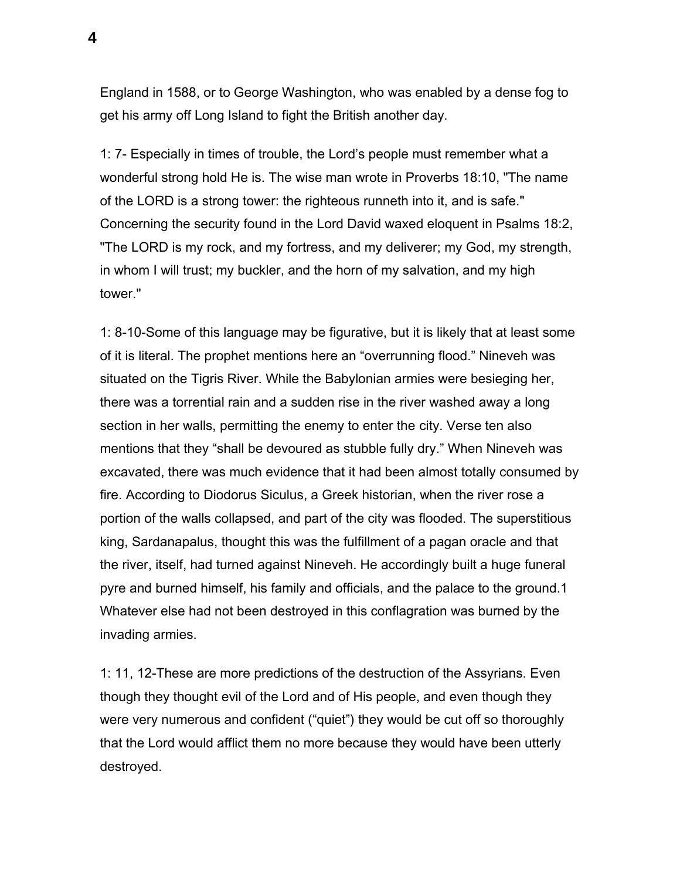England in 1588, or to George Washington, who was enabled by a dense fog to get his army off Long Island to fight the British another day.

1: 7- Especially in times of trouble, the Lord's people must remember what a wonderful strong hold He is. The wise man wrote in Proverbs 18:10, "The name of the LORD is a strong tower: the righteous runneth into it, and is safe." Concerning the security found in the Lord David waxed eloquent in Psalms 18:2, "The LORD is my rock, and my fortress, and my deliverer; my God, my strength, in whom I will trust; my buckler, and the horn of my salvation, and my high tower."

1: 8-10-Some of this language may be figurative, but it is likely that at least some of it is literal. The prophet mentions here an "overrunning flood." Nineveh was situated on the Tigris River. While the Babylonian armies were besieging her, there was a torrential rain and a sudden rise in the river washed away a long section in her walls, permitting the enemy to enter the city. Verse ten also mentions that they "shall be devoured as stubble fully dry." When Nineveh was excavated, there was much evidence that it had been almost totally consumed by fire. According to Diodorus Siculus, a Greek historian, when the river rose a portion of the walls collapsed, and part of the city was flooded. The superstitious king, Sardanapalus, thought this was the fulfillment of a pagan oracle and that the river, itself, had turned against Nineveh. He accordingly built a huge funeral pyre and burned himself, his family and officials, and the palace to the ground.1 Whatever else had not been destroyed in this conflagration was burned by the invading armies.

1: 11, 12-These are more predictions of the destruction of the Assyrians. Even though they thought evil of the Lord and of His people, and even though they were very numerous and confident ("quiet") they would be cut off so thoroughly that the Lord would afflict them no more because they would have been utterly destroyed.

**4**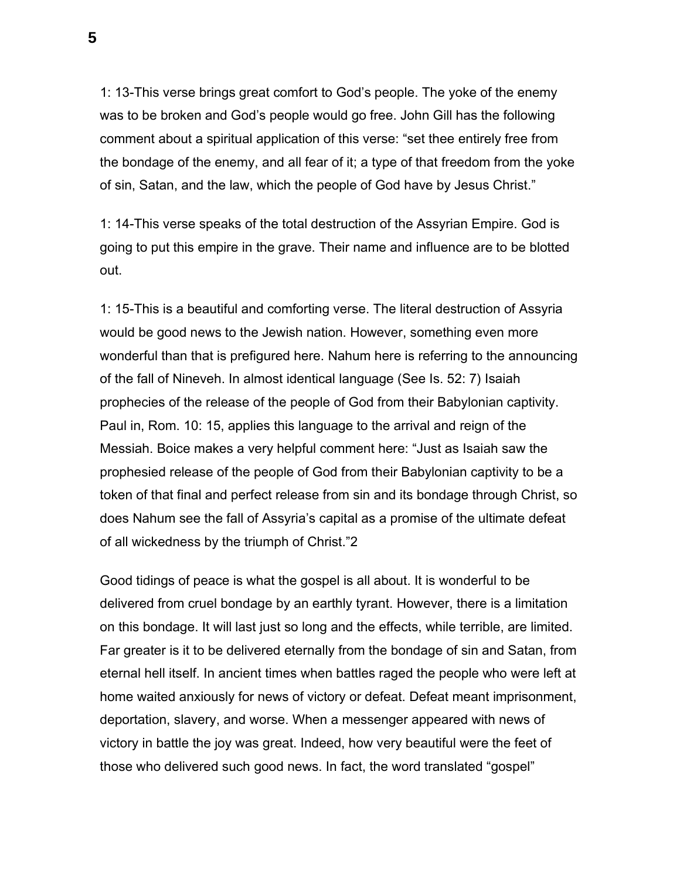1: 13-This verse brings great comfort to God's people. The yoke of the enemy was to be broken and God's people would go free. John Gill has the following comment about a spiritual application of this verse: "set thee entirely free from the bondage of the enemy, and all fear of it; a type of that freedom from the yoke of sin, Satan, and the law, which the people of God have by Jesus Christ."

1: 14-This verse speaks of the total destruction of the Assyrian Empire. God is going to put this empire in the grave. Their name and influence are to be blotted out.

1: 15-This is a beautiful and comforting verse. The literal destruction of Assyria would be good news to the Jewish nation. However, something even more wonderful than that is prefigured here. Nahum here is referring to the announcing of the fall of Nineveh. In almost identical language (See Is. 52: 7) Isaiah prophecies of the release of the people of God from their Babylonian captivity. Paul in, Rom. 10: 15, applies this language to the arrival and reign of the Messiah. Boice makes a very helpful comment here: "Just as Isaiah saw the prophesied release of the people of God from their Babylonian captivity to be a token of that final and perfect release from sin and its bondage through Christ, so does Nahum see the fall of Assyria's capital as a promise of the ultimate defeat of all wickedness by the triumph of Christ."2

Good tidings of peace is what the gospel is all about. It is wonderful to be delivered from cruel bondage by an earthly tyrant. However, there is a limitation on this bondage. It will last just so long and the effects, while terrible, are limited. Far greater is it to be delivered eternally from the bondage of sin and Satan, from eternal hell itself. In ancient times when battles raged the people who were left at home waited anxiously for news of victory or defeat. Defeat meant imprisonment, deportation, slavery, and worse. When a messenger appeared with news of victory in battle the joy was great. Indeed, how very beautiful were the feet of those who delivered such good news. In fact, the word translated "gospel"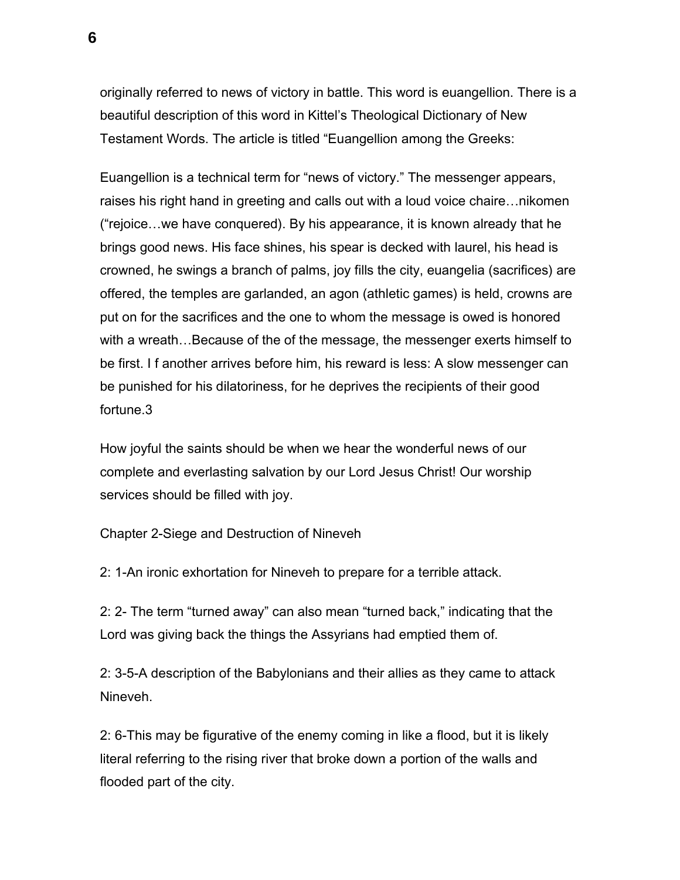originally referred to news of victory in battle. This word is euangellion. There is a beautiful description of this word in Kittel's Theological Dictionary of New Testament Words. The article is titled "Euangellion among the Greeks:

Euangellion is a technical term for "news of victory." The messenger appears, raises his right hand in greeting and calls out with a loud voice chaire…nikomen ("rejoice…we have conquered). By his appearance, it is known already that he brings good news. His face shines, his spear is decked with laurel, his head is crowned, he swings a branch of palms, joy fills the city, euangelia (sacrifices) are offered, the temples are garlanded, an agon (athletic games) is held, crowns are put on for the sacrifices and the one to whom the message is owed is honored with a wreath…Because of the of the message, the messenger exerts himself to be first. I f another arrives before him, his reward is less: A slow messenger can be punished for his dilatoriness, for he deprives the recipients of their good fortune.3

How joyful the saints should be when we hear the wonderful news of our complete and everlasting salvation by our Lord Jesus Christ! Our worship services should be filled with joy.

Chapter 2-Siege and Destruction of Nineveh

2: 1-An ironic exhortation for Nineveh to prepare for a terrible attack.

2: 2- The term "turned away" can also mean "turned back," indicating that the Lord was giving back the things the Assyrians had emptied them of.

2: 3-5-A description of the Babylonians and their allies as they came to attack Nineveh.

2: 6-This may be figurative of the enemy coming in like a flood, but it is likely literal referring to the rising river that broke down a portion of the walls and flooded part of the city.

**6**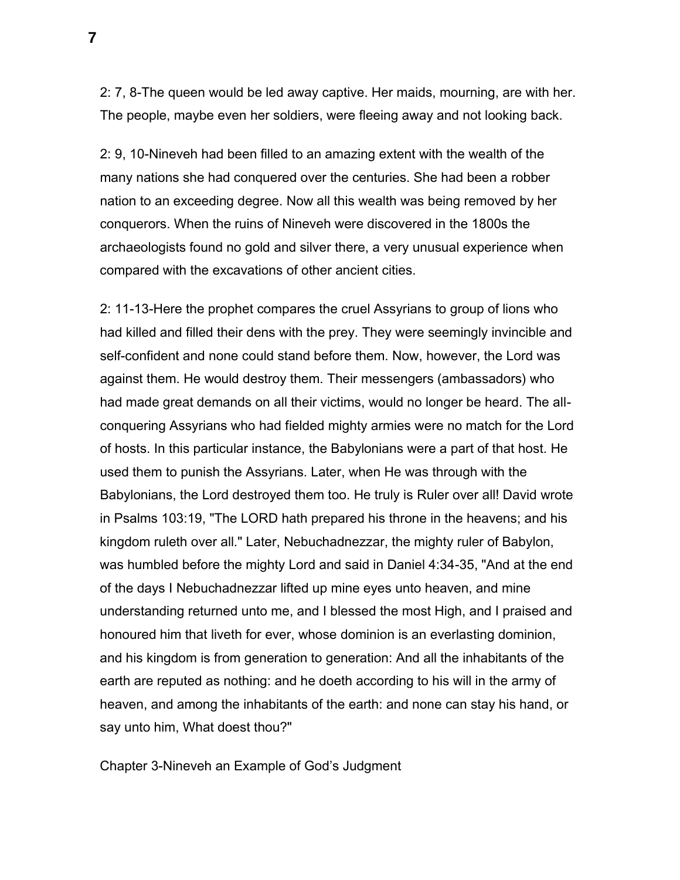2: 7, 8-The queen would be led away captive. Her maids, mourning, are with her. The people, maybe even her soldiers, were fleeing away and not looking back.

2: 9, 10-Nineveh had been filled to an amazing extent with the wealth of the many nations she had conquered over the centuries. She had been a robber nation to an exceeding degree. Now all this wealth was being removed by her conquerors. When the ruins of Nineveh were discovered in the 1800s the archaeologists found no gold and silver there, a very unusual experience when compared with the excavations of other ancient cities.

2: 11-13-Here the prophet compares the cruel Assyrians to group of lions who had killed and filled their dens with the prey. They were seemingly invincible and self-confident and none could stand before them. Now, however, the Lord was against them. He would destroy them. Their messengers (ambassadors) who had made great demands on all their victims, would no longer be heard. The allconquering Assyrians who had fielded mighty armies were no match for the Lord of hosts. In this particular instance, the Babylonians were a part of that host. He used them to punish the Assyrians. Later, when He was through with the Babylonians, the Lord destroyed them too. He truly is Ruler over all! David wrote in Psalms 103:19, "The LORD hath prepared his throne in the heavens; and his kingdom ruleth over all." Later, Nebuchadnezzar, the mighty ruler of Babylon, was humbled before the mighty Lord and said in Daniel 4:34-35, "And at the end of the days I Nebuchadnezzar lifted up mine eyes unto heaven, and mine understanding returned unto me, and I blessed the most High, and I praised and honoured him that liveth for ever, whose dominion is an everlasting dominion, and his kingdom is from generation to generation: And all the inhabitants of the earth are reputed as nothing: and he doeth according to his will in the army of heaven, and among the inhabitants of the earth: and none can stay his hand, or say unto him, What doest thou?"

Chapter 3-Nineveh an Example of God's Judgment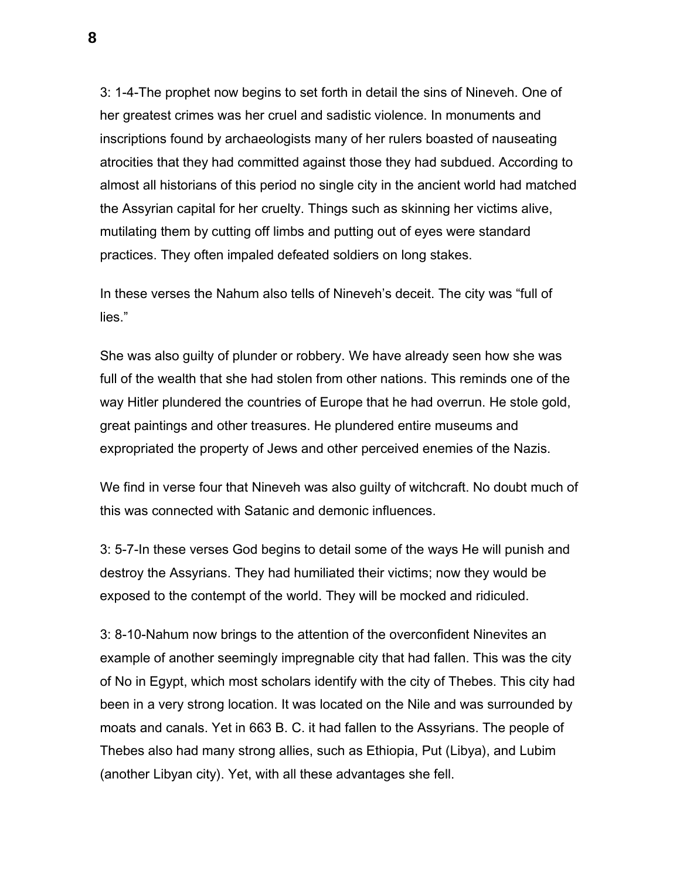3: 1-4-The prophet now begins to set forth in detail the sins of Nineveh. One of her greatest crimes was her cruel and sadistic violence. In monuments and inscriptions found by archaeologists many of her rulers boasted of nauseating atrocities that they had committed against those they had subdued. According to almost all historians of this period no single city in the ancient world had matched the Assyrian capital for her cruelty. Things such as skinning her victims alive, mutilating them by cutting off limbs and putting out of eyes were standard practices. They often impaled defeated soldiers on long stakes.

In these verses the Nahum also tells of Nineveh's deceit. The city was "full of lies."

She was also guilty of plunder or robbery. We have already seen how she was full of the wealth that she had stolen from other nations. This reminds one of the way Hitler plundered the countries of Europe that he had overrun. He stole gold, great paintings and other treasures. He plundered entire museums and expropriated the property of Jews and other perceived enemies of the Nazis.

We find in verse four that Nineveh was also guilty of witchcraft. No doubt much of this was connected with Satanic and demonic influences.

3: 5-7-In these verses God begins to detail some of the ways He will punish and destroy the Assyrians. They had humiliated their victims; now they would be exposed to the contempt of the world. They will be mocked and ridiculed.

3: 8-10-Nahum now brings to the attention of the overconfident Ninevites an example of another seemingly impregnable city that had fallen. This was the city of No in Egypt, which most scholars identify with the city of Thebes. This city had been in a very strong location. It was located on the Nile and was surrounded by moats and canals. Yet in 663 B. C. it had fallen to the Assyrians. The people of Thebes also had many strong allies, such as Ethiopia, Put (Libya), and Lubim (another Libyan city). Yet, with all these advantages she fell.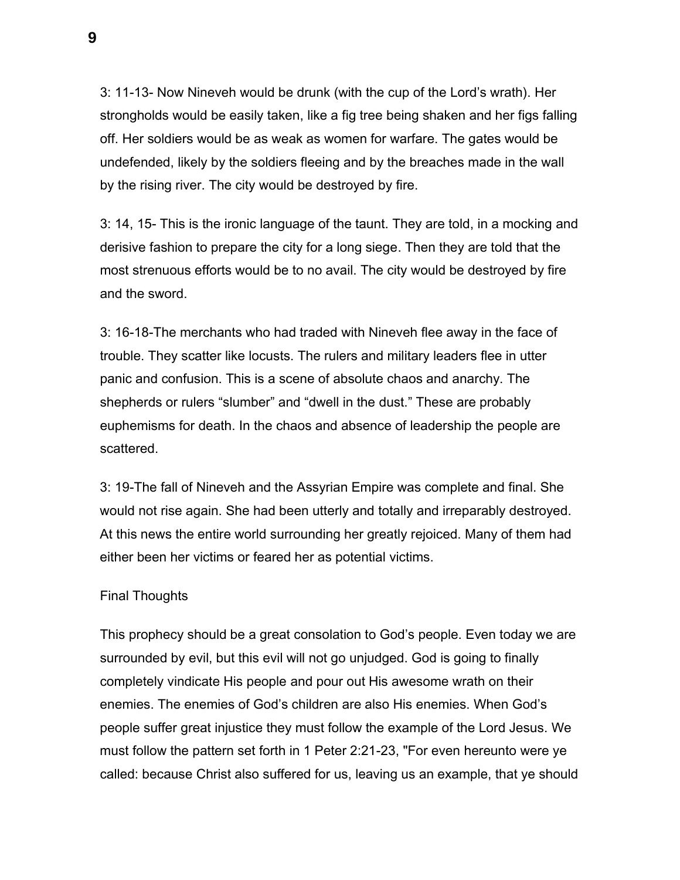3: 11-13- Now Nineveh would be drunk (with the cup of the Lord's wrath). Her strongholds would be easily taken, like a fig tree being shaken and her figs falling off. Her soldiers would be as weak as women for warfare. The gates would be undefended, likely by the soldiers fleeing and by the breaches made in the wall by the rising river. The city would be destroyed by fire.

3: 14, 15- This is the ironic language of the taunt. They are told, in a mocking and derisive fashion to prepare the city for a long siege. Then they are told that the most strenuous efforts would be to no avail. The city would be destroyed by fire and the sword.

3: 16-18-The merchants who had traded with Nineveh flee away in the face of trouble. They scatter like locusts. The rulers and military leaders flee in utter panic and confusion. This is a scene of absolute chaos and anarchy. The shepherds or rulers "slumber" and "dwell in the dust." These are probably euphemisms for death. In the chaos and absence of leadership the people are scattered.

3: 19-The fall of Nineveh and the Assyrian Empire was complete and final. She would not rise again. She had been utterly and totally and irreparably destroyed. At this news the entire world surrounding her greatly rejoiced. Many of them had either been her victims or feared her as potential victims.

## Final Thoughts

This prophecy should be a great consolation to God's people. Even today we are surrounded by evil, but this evil will not go unjudged. God is going to finally completely vindicate His people and pour out His awesome wrath on their enemies. The enemies of God's children are also His enemies. When God's people suffer great injustice they must follow the example of the Lord Jesus. We must follow the pattern set forth in 1 Peter 2:21-23, "For even hereunto were ye called: because Christ also suffered for us, leaving us an example, that ye should